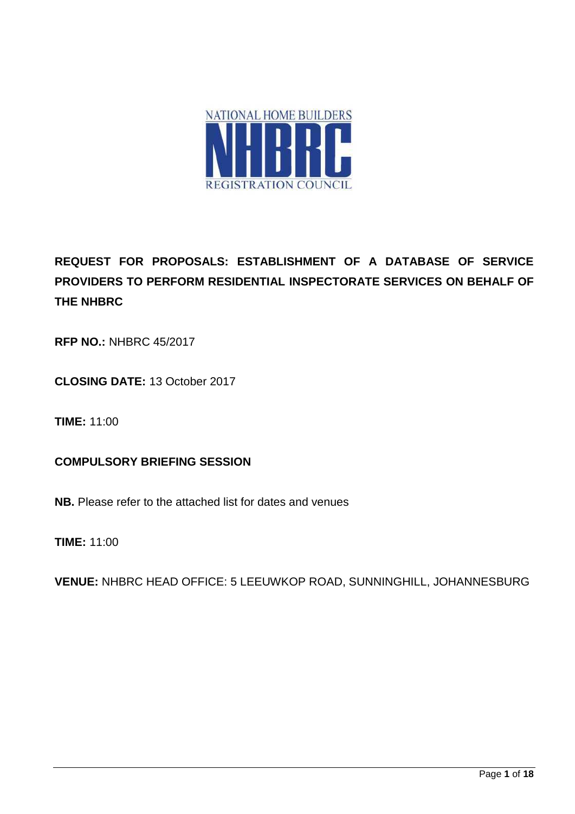

**REQUEST FOR PROPOSALS: ESTABLISHMENT OF A DATABASE OF SERVICE PROVIDERS TO PERFORM RESIDENTIAL INSPECTORATE SERVICES ON BEHALF OF THE NHBRC**

**RFP NO.:** NHBRC 45/2017

**CLOSING DATE:** 13 October 2017

**TIME:** 11:00

**COMPULSORY BRIEFING SESSION**

**NB.** Please refer to the attached list for dates and venues

**TIME:** 11:00

**VENUE:** NHBRC HEAD OFFICE: 5 LEEUWKOP ROAD, SUNNINGHILL, JOHANNESBURG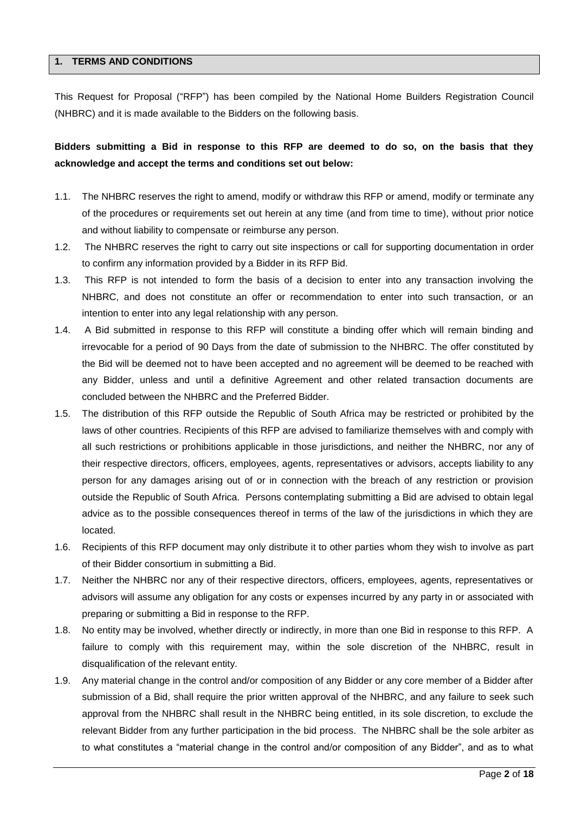## **1. TERMS AND CONDITIONS**

This Request for Proposal ("RFP") has been compiled by the National Home Builders Registration Council (NHBRC) and it is made available to the Bidders on the following basis.

# **Bidders submitting a Bid in response to this RFP are deemed to do so, on the basis that they acknowledge and accept the terms and conditions set out below:**

- 1.1. The NHBRC reserves the right to amend, modify or withdraw this RFP or amend, modify or terminate any of the procedures or requirements set out herein at any time (and from time to time), without prior notice and without liability to compensate or reimburse any person.
- 1.2. The NHBRC reserves the right to carry out site inspections or call for supporting documentation in order to confirm any information provided by a Bidder in its RFP Bid.
- 1.3. This RFP is not intended to form the basis of a decision to enter into any transaction involving the NHBRC, and does not constitute an offer or recommendation to enter into such transaction, or an intention to enter into any legal relationship with any person.
- 1.4. A Bid submitted in response to this RFP will constitute a binding offer which will remain binding and irrevocable for a period of 90 Days from the date of submission to the NHBRC. The offer constituted by the Bid will be deemed not to have been accepted and no agreement will be deemed to be reached with any Bidder, unless and until a definitive Agreement and other related transaction documents are concluded between the NHBRC and the Preferred Bidder.
- 1.5. The distribution of this RFP outside the Republic of South Africa may be restricted or prohibited by the laws of other countries. Recipients of this RFP are advised to familiarize themselves with and comply with all such restrictions or prohibitions applicable in those jurisdictions, and neither the NHBRC, nor any of their respective directors, officers, employees, agents, representatives or advisors, accepts liability to any person for any damages arising out of or in connection with the breach of any restriction or provision outside the Republic of South Africa. Persons contemplating submitting a Bid are advised to obtain legal advice as to the possible consequences thereof in terms of the law of the jurisdictions in which they are located.
- 1.6. Recipients of this RFP document may only distribute it to other parties whom they wish to involve as part of their Bidder consortium in submitting a Bid.
- 1.7. Neither the NHBRC nor any of their respective directors, officers, employees, agents, representatives or advisors will assume any obligation for any costs or expenses incurred by any party in or associated with preparing or submitting a Bid in response to the RFP.
- 1.8. No entity may be involved, whether directly or indirectly, in more than one Bid in response to this RFP. A failure to comply with this requirement may, within the sole discretion of the NHBRC, result in disqualification of the relevant entity.
- 1.9. Any material change in the control and/or composition of any Bidder or any core member of a Bidder after submission of a Bid, shall require the prior written approval of the NHBRC, and any failure to seek such approval from the NHBRC shall result in the NHBRC being entitled, in its sole discretion, to exclude the relevant Bidder from any further participation in the bid process. The NHBRC shall be the sole arbiter as to what constitutes a "material change in the control and/or composition of any Bidder", and as to what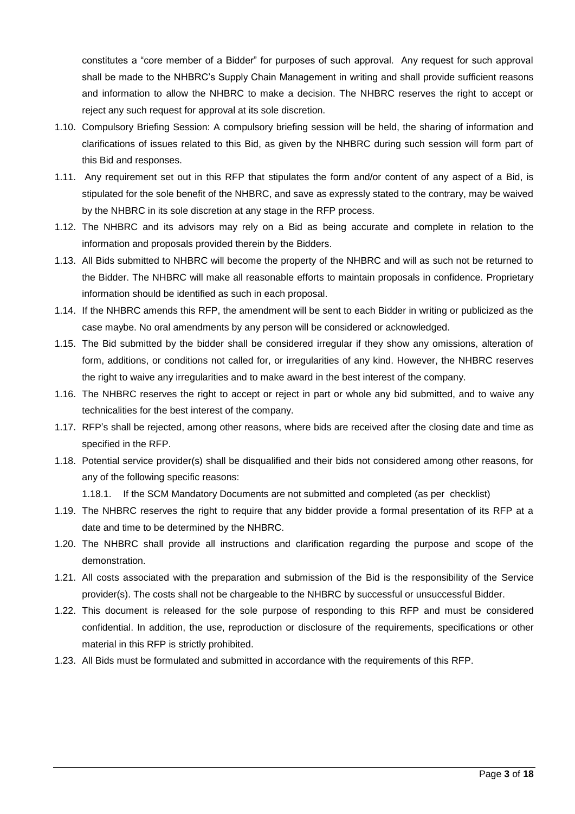constitutes a "core member of a Bidder" for purposes of such approval. Any request for such approval shall be made to the NHBRC's Supply Chain Management in writing and shall provide sufficient reasons and information to allow the NHBRC to make a decision. The NHBRC reserves the right to accept or reject any such request for approval at its sole discretion.

- 1.10. Compulsory Briefing Session: A compulsory briefing session will be held, the sharing of information and clarifications of issues related to this Bid, as given by the NHBRC during such session will form part of this Bid and responses.
- 1.11. Any requirement set out in this RFP that stipulates the form and/or content of any aspect of a Bid, is stipulated for the sole benefit of the NHBRC, and save as expressly stated to the contrary, may be waived by the NHBRC in its sole discretion at any stage in the RFP process.
- 1.12. The NHBRC and its advisors may rely on a Bid as being accurate and complete in relation to the information and proposals provided therein by the Bidders.
- 1.13. All Bids submitted to NHBRC will become the property of the NHBRC and will as such not be returned to the Bidder. The NHBRC will make all reasonable efforts to maintain proposals in confidence. Proprietary information should be identified as such in each proposal.
- 1.14. If the NHBRC amends this RFP, the amendment will be sent to each Bidder in writing or publicized as the case maybe. No oral amendments by any person will be considered or acknowledged.
- 1.15. The Bid submitted by the bidder shall be considered irregular if they show any omissions, alteration of form, additions, or conditions not called for, or irregularities of any kind. However, the NHBRC reserves the right to waive any irregularities and to make award in the best interest of the company.
- 1.16. The NHBRC reserves the right to accept or reject in part or whole any bid submitted, and to waive any technicalities for the best interest of the company.
- 1.17. RFP's shall be rejected, among other reasons, where bids are received after the closing date and time as specified in the RFP.
- 1.18. Potential service provider(s) shall be disqualified and their bids not considered among other reasons, for any of the following specific reasons:

1.18.1. If the SCM Mandatory Documents are not submitted and completed (as per checklist)

- 1.19. The NHBRC reserves the right to require that any bidder provide a formal presentation of its RFP at a date and time to be determined by the NHBRC.
- 1.20. The NHBRC shall provide all instructions and clarification regarding the purpose and scope of the demonstration.
- 1.21. All costs associated with the preparation and submission of the Bid is the responsibility of the Service provider(s). The costs shall not be chargeable to the NHBRC by successful or unsuccessful Bidder.
- 1.22. This document is released for the sole purpose of responding to this RFP and must be considered confidential. In addition, the use, reproduction or disclosure of the requirements, specifications or other material in this RFP is strictly prohibited.
- 1.23. All Bids must be formulated and submitted in accordance with the requirements of this RFP.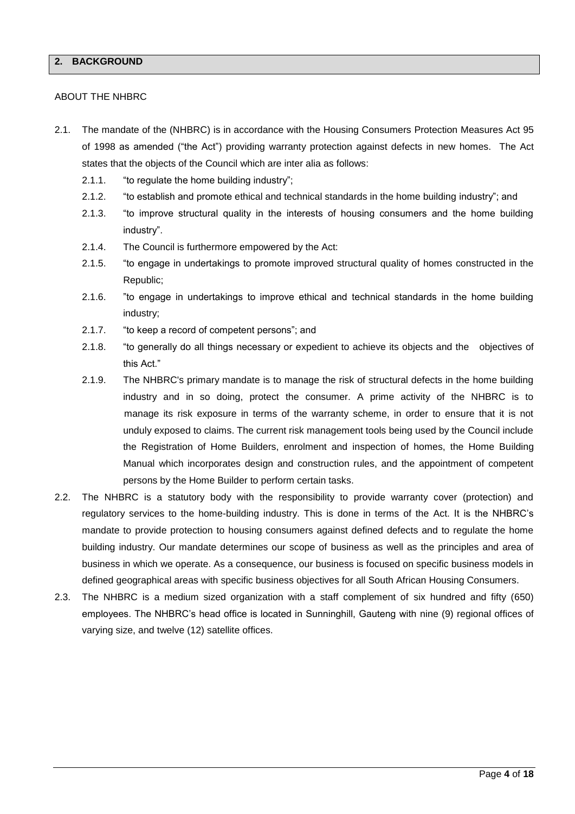## **2. BACKGROUND**

#### ABOUT THE NHBRC

- 2.1. The mandate of the (NHBRC) is in accordance with the Housing Consumers Protection Measures Act 95 of 1998 as amended ("the Act") providing warranty protection against defects in new homes. The Act states that the objects of the Council which are inter alia as follows:
	- 2.1.1. "to regulate the home building industry";
	- 2.1.2. "to establish and promote ethical and technical standards in the home building industry"; and
	- 2.1.3. "to improve structural quality in the interests of housing consumers and the home building industry".
	- 2.1.4. The Council is furthermore empowered by the Act:
	- 2.1.5. "to engage in undertakings to promote improved structural quality of homes constructed in the Republic;
	- 2.1.6. "to engage in undertakings to improve ethical and technical standards in the home building industry;
	- 2.1.7. "to keep a record of competent persons"; and
	- 2.1.8. "to generally do all things necessary or expedient to achieve its objects and the objectives of this Act."
	- 2.1.9. The NHBRC's primary mandate is to manage the risk of structural defects in the home building industry and in so doing, protect the consumer. A prime activity of the NHBRC is to manage its risk exposure in terms of the warranty scheme, in order to ensure that it is not unduly exposed to claims. The current risk management tools being used by the Council include the Registration of Home Builders, enrolment and inspection of homes, the Home Building Manual which incorporates design and construction rules, and the appointment of competent persons by the Home Builder to perform certain tasks.
- 2.2. The NHBRC is a statutory body with the responsibility to provide warranty cover (protection) and regulatory services to the home-building industry. This is done in terms of the Act. It is the NHBRC's mandate to provide protection to housing consumers against defined defects and to regulate the home building industry. Our mandate determines our scope of business as well as the principles and area of business in which we operate. As a consequence, our business is focused on specific business models in defined geographical areas with specific business objectives for all South African Housing Consumers.
- 2.3. The NHBRC is a medium sized organization with a staff complement of six hundred and fifty (650) employees. The NHBRC's head office is located in Sunninghill, Gauteng with nine (9) regional offices of varying size, and twelve (12) satellite offices.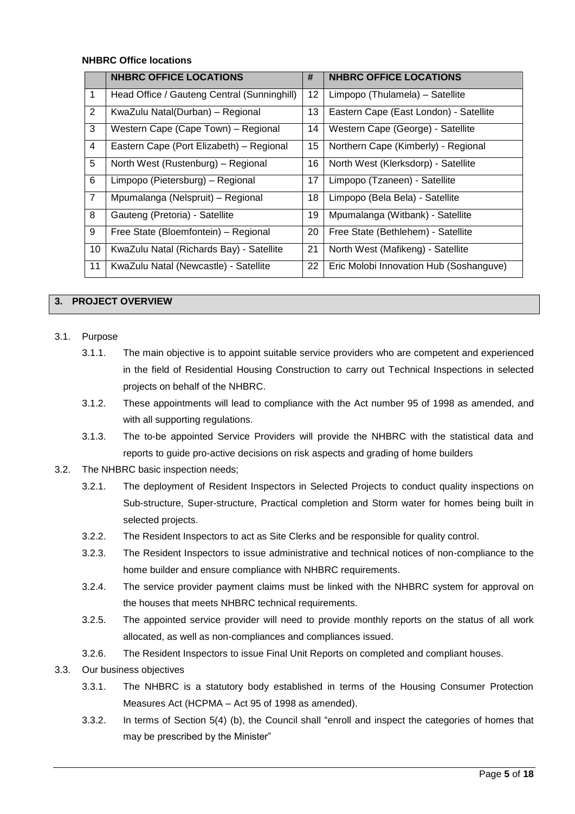#### **NHBRC Office locations**

|                | <b>NHBRC OFFICE LOCATIONS</b>               | #               | <b>NHBRC OFFICE LOCATIONS</b>           |
|----------------|---------------------------------------------|-----------------|-----------------------------------------|
| 1              | Head Office / Gauteng Central (Sunninghill) | 12 <sub>2</sub> | Limpopo (Thulamela) - Satellite         |
| 2              | KwaZulu Natal(Durban) - Regional            | 13              | Eastern Cape (East London) - Satellite  |
| 3              | Western Cape (Cape Town) - Regional         | 14              | Western Cape (George) - Satellite       |
| 4              | Eastern Cape (Port Elizabeth) - Regional    | 15              | Northern Cape (Kimberly) - Regional     |
| 5              | North West (Rustenburg) - Regional          | 16              | North West (Klerksdorp) - Satellite     |
| 6              | Limpopo (Pietersburg) - Regional            | 17              | Limpopo (Tzaneen) - Satellite           |
| $\overline{7}$ | Mpumalanga (Nelspruit) - Regional           | 18              | Limpopo (Bela Bela) - Satellite         |
| 8              | Gauteng (Pretoria) - Satellite              | 19              | Mpumalanga (Witbank) - Satellite        |
| 9              | Free State (Bloemfontein) - Regional        | 20              | Free State (Bethlehem) - Satellite      |
| 10             | KwaZulu Natal (Richards Bay) - Satellite    | 21              | North West (Mafikeng) - Satellite       |
| 11             | KwaZulu Natal (Newcastle) - Satellite       | 22              | Eric Molobi Innovation Hub (Soshanguve) |

### **3. PROJECT OVERVIEW**

- 3.1. Purpose
	- 3.1.1. The main objective is to appoint suitable service providers who are competent and experienced in the field of Residential Housing Construction to carry out Technical Inspections in selected projects on behalf of the NHBRC.
	- 3.1.2. These appointments will lead to compliance with the Act number 95 of 1998 as amended, and with all supporting regulations.
	- 3.1.3. The to-be appointed Service Providers will provide the NHBRC with the statistical data and reports to guide pro-active decisions on risk aspects and grading of home builders
- 3.2. The NHBRC basic inspection needs;
	- 3.2.1. The deployment of Resident Inspectors in Selected Projects to conduct quality inspections on Sub-structure, Super-structure, Practical completion and Storm water for homes being built in selected projects.
	- 3.2.2. The Resident Inspectors to act as Site Clerks and be responsible for quality control.
	- 3.2.3. The Resident Inspectors to issue administrative and technical notices of non-compliance to the home builder and ensure compliance with NHBRC requirements.
	- 3.2.4. The service provider payment claims must be linked with the NHBRC system for approval on the houses that meets NHBRC technical requirements.
	- 3.2.5. The appointed service provider will need to provide monthly reports on the status of all work allocated, as well as non-compliances and compliances issued.
	- 3.2.6. The Resident Inspectors to issue Final Unit Reports on completed and compliant houses.
- 3.3. Our business objectives
	- 3.3.1. The NHBRC is a statutory body established in terms of the Housing Consumer Protection Measures Act (HCPMA – Act 95 of 1998 as amended).
	- 3.3.2. In terms of Section 5(4) (b), the Council shall "enroll and inspect the categories of homes that may be prescribed by the Minister"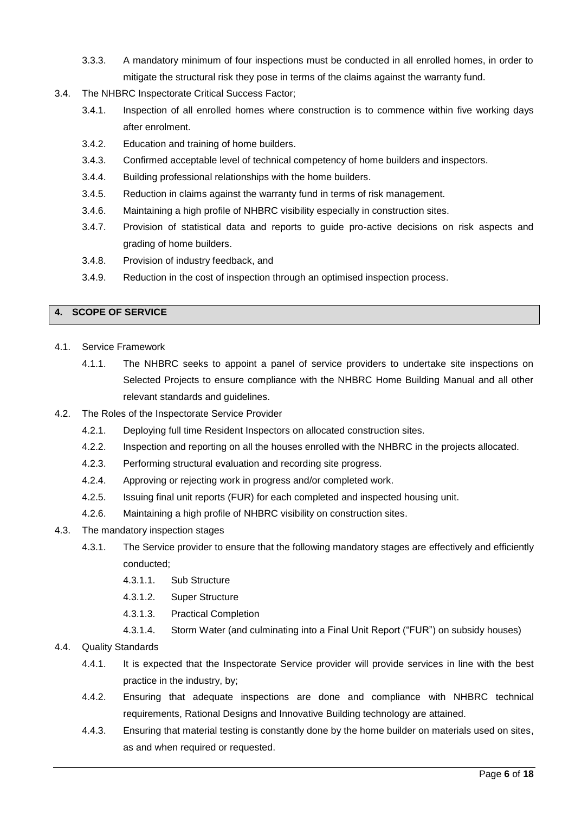- 3.3.3. A mandatory minimum of four inspections must be conducted in all enrolled homes, in order to mitigate the structural risk they pose in terms of the claims against the warranty fund.
- 3.4. The NHBRC Inspectorate Critical Success Factor;
	- 3.4.1. Inspection of all enrolled homes where construction is to commence within five working days after enrolment.
	- 3.4.2. Education and training of home builders.
	- 3.4.3. Confirmed acceptable level of technical competency of home builders and inspectors.
	- 3.4.4. Building professional relationships with the home builders.
	- 3.4.5. Reduction in claims against the warranty fund in terms of risk management.
	- 3.4.6. Maintaining a high profile of NHBRC visibility especially in construction sites.
	- 3.4.7. Provision of statistical data and reports to guide pro-active decisions on risk aspects and grading of home builders.
	- 3.4.8. Provision of industry feedback, and
	- 3.4.9. Reduction in the cost of inspection through an optimised inspection process.

# **4. SCOPE OF SERVICE**

- 4.1. Service Framework
	- 4.1.1. The NHBRC seeks to appoint a panel of service providers to undertake site inspections on Selected Projects to ensure compliance with the NHBRC Home Building Manual and all other relevant standards and guidelines.
- 4.2. The Roles of the Inspectorate Service Provider
	- 4.2.1. Deploying full time Resident Inspectors on allocated construction sites.
	- 4.2.2. Inspection and reporting on all the houses enrolled with the NHBRC in the projects allocated.
	- 4.2.3. Performing structural evaluation and recording site progress.
	- 4.2.4. Approving or rejecting work in progress and/or completed work.
	- 4.2.5. Issuing final unit reports (FUR) for each completed and inspected housing unit.
	- 4.2.6. Maintaining a high profile of NHBRC visibility on construction sites.
- 4.3. The mandatory inspection stages
	- 4.3.1. The Service provider to ensure that the following mandatory stages are effectively and efficiently conducted;
		- 4.3.1.1. Sub Structure
		- 4.3.1.2. Super Structure
		- 4.3.1.3. Practical Completion
		- 4.3.1.4. Storm Water (and culminating into a Final Unit Report ("FUR") on subsidy houses)
- 4.4. Quality Standards
	- 4.4.1. It is expected that the Inspectorate Service provider will provide services in line with the best practice in the industry, by;
	- 4.4.2. Ensuring that adequate inspections are done and compliance with NHBRC technical requirements, Rational Designs and Innovative Building technology are attained.
	- 4.4.3. Ensuring that material testing is constantly done by the home builder on materials used on sites, as and when required or requested.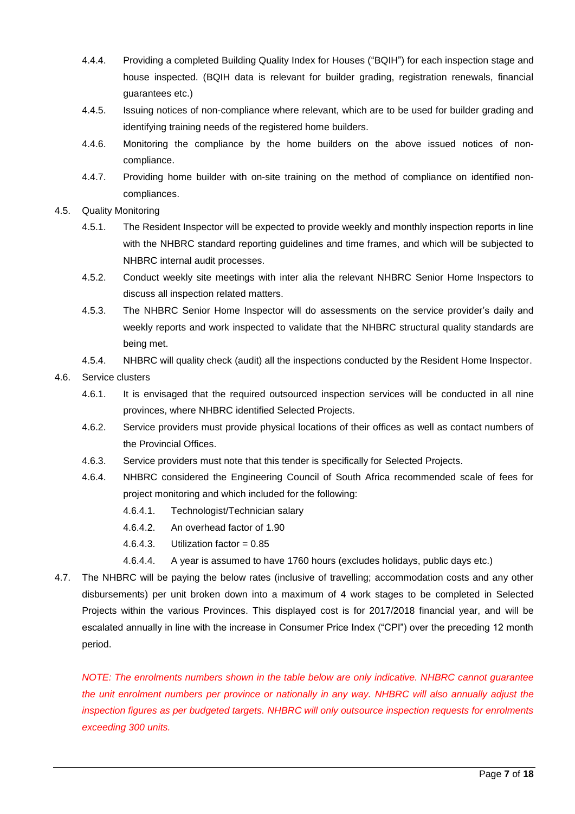- 4.4.4. Providing a completed Building Quality Index for Houses ("BQIH") for each inspection stage and house inspected. (BQIH data is relevant for builder grading, registration renewals, financial guarantees etc.)
- 4.4.5. Issuing notices of non-compliance where relevant, which are to be used for builder grading and identifying training needs of the registered home builders.
- 4.4.6. Monitoring the compliance by the home builders on the above issued notices of noncompliance.
- 4.4.7. Providing home builder with on-site training on the method of compliance on identified noncompliances.
- 4.5. Quality Monitoring
	- 4.5.1. The Resident Inspector will be expected to provide weekly and monthly inspection reports in line with the NHBRC standard reporting guidelines and time frames, and which will be subjected to NHBRC internal audit processes.
	- 4.5.2. Conduct weekly site meetings with inter alia the relevant NHBRC Senior Home Inspectors to discuss all inspection related matters.
	- 4.5.3. The NHBRC Senior Home Inspector will do assessments on the service provider's daily and weekly reports and work inspected to validate that the NHBRC structural quality standards are being met.
	- 4.5.4. NHBRC will quality check (audit) all the inspections conducted by the Resident Home Inspector.
- 4.6. Service clusters
	- 4.6.1. It is envisaged that the required outsourced inspection services will be conducted in all nine provinces, where NHBRC identified Selected Projects.
	- 4.6.2. Service providers must provide physical locations of their offices as well as contact numbers of the Provincial Offices.
	- 4.6.3. Service providers must note that this tender is specifically for Selected Projects.
	- 4.6.4. NHBRC considered the Engineering Council of South Africa recommended scale of fees for project monitoring and which included for the following:
		- 4.6.4.1. Technologist/Technician salary
		- 4.6.4.2. An overhead factor of 1.90
		- 4.6.4.3. Utilization factor =  $0.85$
		- 4.6.4.4. A year is assumed to have 1760 hours (excludes holidays, public days etc.)
- 4.7. The NHBRC will be paying the below rates (inclusive of travelling; accommodation costs and any other disbursements) per unit broken down into a maximum of 4 work stages to be completed in Selected Projects within the various Provinces. This displayed cost is for 2017/2018 financial year, and will be escalated annually in line with the increase in Consumer Price Index ("CPI") over the preceding 12 month period.

*NOTE: The enrolments numbers shown in the table below are only indicative. NHBRC cannot guarantee the unit enrolment numbers per province or nationally in any way. NHBRC will also annually adjust the inspection figures as per budgeted targets. NHBRC will only outsource inspection requests for enrolments exceeding 300 units.*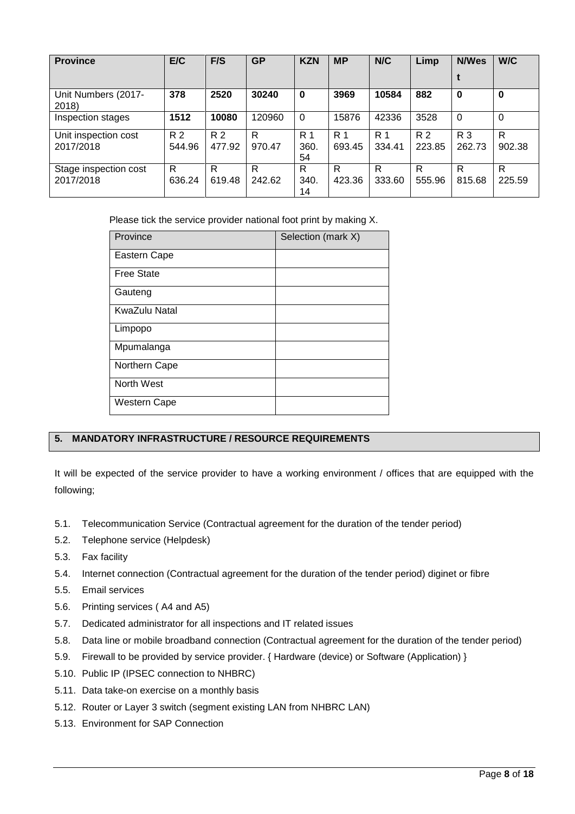| <b>Province</b>                    | E/C           | F/S           | <b>GP</b>   | <b>KZN</b>                   | <b>MP</b>                | N/C           | Limp          | <b>N/Wes</b>  | W/C         |
|------------------------------------|---------------|---------------|-------------|------------------------------|--------------------------|---------------|---------------|---------------|-------------|
|                                    |               |               |             |                              |                          |               |               |               |             |
| Unit Numbers (2017-<br>2018)       | 378           | 2520          | 30240       | $\mathbf 0$                  | 3969                     | 10584         | 882           | 0             | $\bf{0}$    |
| Inspection stages                  | 1512          | 10080         | 120960      | $\Omega$                     | 15876                    | 42336         | 3528          | $\Omega$      | $\Omega$    |
| Unit inspection cost<br>2017/2018  | R 2<br>544.96 | R 2<br>477.92 | R<br>970.47 | R <sub>1</sub><br>360.<br>54 | R <sub>1</sub><br>693.45 | R 1<br>334.41 | R 2<br>223.85 | R 3<br>262.73 | R<br>902.38 |
| Stage inspection cost<br>2017/2018 | R<br>636.24   | R<br>619.48   | R<br>242.62 | R<br>340.<br>14              | R<br>423.36              | R<br>333.60   | R<br>555.96   | R<br>815.68   | R<br>225.59 |

Please tick the service provider national foot print by making X.

| Province          | Selection (mark X) |
|-------------------|--------------------|
| Eastern Cape      |                    |
| <b>Free State</b> |                    |
| Gauteng           |                    |
| KwaZulu Natal     |                    |
| Limpopo           |                    |
| Mpumalanga        |                    |
| Northern Cape     |                    |
| North West        |                    |
| Western Cape      |                    |

# **5. MANDATORY INFRASTRUCTURE / RESOURCE REQUIREMENTS**

It will be expected of the service provider to have a working environment / offices that are equipped with the following;

- 5.1. Telecommunication Service (Contractual agreement for the duration of the tender period)
- 5.2. Telephone service (Helpdesk)
- 5.3. Fax facility
- 5.4. Internet connection (Contractual agreement for the duration of the tender period) diginet or fibre
- 5.5. Email services
- 5.6. Printing services ( A4 and A5)
- 5.7. Dedicated administrator for all inspections and IT related issues
- 5.8. Data line or mobile broadband connection (Contractual agreement for the duration of the tender period)
- 5.9. Firewall to be provided by service provider. { Hardware (device) or Software (Application) }
- 5.10. Public IP (IPSEC connection to NHBRC)
- 5.11. Data take-on exercise on a monthly basis
- 5.12. Router or Layer 3 switch (segment existing LAN from NHBRC LAN)
- 5.13. Environment for SAP Connection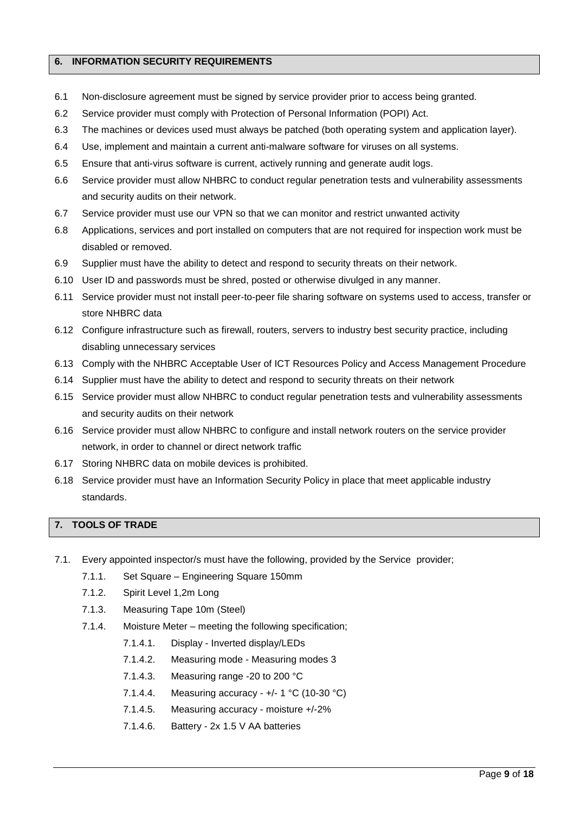### **6. INFORMATION SECURITY REQUIREMENTS**

- 6.1 Non-disclosure agreement must be signed by service provider prior to access being granted.
- 6.2 Service provider must comply with Protection of Personal Information (POPI) Act.
- 6.3 The machines or devices used must always be patched (both operating system and application layer).
- 6.4 Use, implement and maintain a current anti-malware software for viruses on all systems.
- 6.5 Ensure that anti-virus software is current, actively running and generate audit logs.
- 6.6 Service provider must allow NHBRC to conduct regular penetration tests and vulnerability assessments and security audits on their network.
- 6.7 Service provider must use our VPN so that we can monitor and restrict unwanted activity
- 6.8 Applications, services and port installed on computers that are not required for inspection work must be disabled or removed.
- 6.9 Supplier must have the ability to detect and respond to security threats on their network.
- 6.10 User ID and passwords must be shred, posted or otherwise divulged in any manner.
- 6.11 Service provider must not install peer-to-peer file sharing software on systems used to access, transfer or store NHBRC data
- 6.12 Configure infrastructure such as firewall, routers, servers to industry best security practice, including disabling unnecessary services
- 6.13 Comply with the NHBRC Acceptable User of ICT Resources Policy and Access Management Procedure
- 6.14 Supplier must have the ability to detect and respond to security threats on their network
- 6.15 Service provider must allow NHBRC to conduct regular penetration tests and vulnerability assessments and security audits on their network
- 6.16 Service provider must allow NHBRC to configure and install network routers on the service provider network, in order to channel or direct network traffic
- 6.17 Storing NHBRC data on mobile devices is prohibited.
- 6.18 Service provider must have an Information Security Policy in place that meet applicable industry standards.

# **7. TOOLS OF TRADE**

- 7.1. Every appointed inspector/s must have the following, provided by the Service provider;
	- 7.1.1. Set Square Engineering Square 150mm
	- 7.1.2. Spirit Level 1,2m Long
	- 7.1.3. Measuring Tape 10m (Steel)
	- 7.1.4. Moisture Meter meeting the following specification;
		- 7.1.4.1. Display Inverted display/LEDs
		- 7.1.4.2. Measuring mode Measuring modes 3
		- 7.1.4.3. Measuring range -20 to 200 °C
		- 7.1.4.4. Measuring accuracy +/- 1 °C (10-30 °C)
		- 7.1.4.5. Measuring accuracy moisture +/-2%
		- 7.1.4.6. Battery 2x 1.5 V AA batteries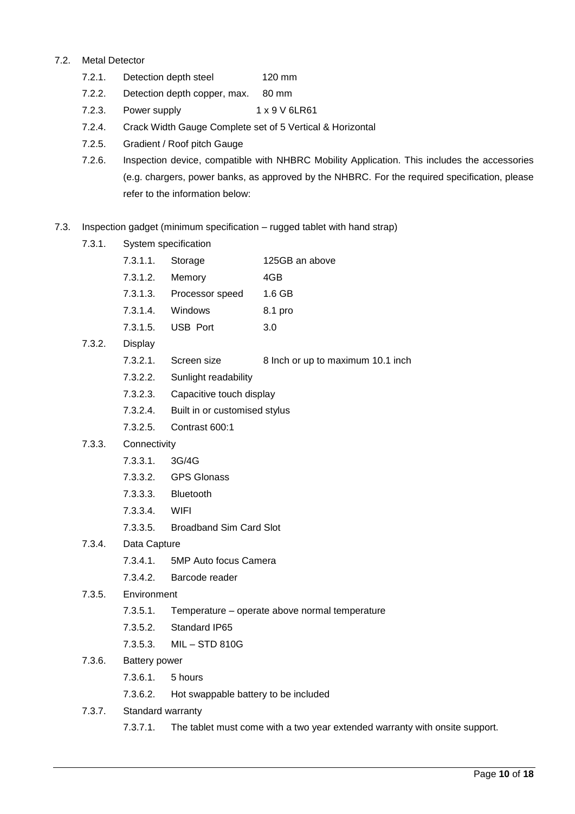### 7.2. Metal Detector

- 7.2.1. Detection depth steel 120 mm
- 7.2.2. Detection depth copper, max. 80 mm
- 7.2.3. Power supply 1 x 9 V 6LR61
- 7.2.4. Crack Width Gauge Complete set of 5 Vertical & Horizontal
- 7.2.5. Gradient / Roof pitch Gauge
- 7.2.6. Inspection device, compatible with NHBRC Mobility Application. This includes the accessories (e.g. chargers, power banks, as approved by the NHBRC. For the required specification, please refer to the information below:
- 7.3. Inspection gadget (minimum specification rugged tablet with hand strap)
	- 7.3.1. System specification
		- 7.3.1.1. Storage 125GB an above
		- 7.3.1.2. Memory 4GB
		- 7.3.1.3. Processor speed 1.6 GB
		- 7.3.1.4. Windows 8.1 pro
		- 7.3.1.5. USB Port 3.0
	- 7.3.2. Display
		- 7.3.2.1. Screen size 8 Inch or up to maximum 10.1 inch
		- 7.3.2.2. Sunlight readability
		- 7.3.2.3. Capacitive touch display
		- 7.3.2.4. Built in or customised stylus
		- 7.3.2.5. Contrast 600:1
	- 7.3.3. Connectivity
		- 7.3.3.1. 3G/4G
		- 7.3.3.2. GPS Glonass
		- 7.3.3.3. Bluetooth
		- 7.3.3.4. WIFI
		- 7.3.3.5. Broadband Sim Card Slot

# 7.3.4. Data Capture

- 7.3.4.1. 5MP Auto focus Camera
- 7.3.4.2. Barcode reader
- 7.3.5. Environment
	- 7.3.5.1. Temperature operate above normal temperature
	- 7.3.5.2. Standard IP65
	- 7.3.5.3. MIL STD 810G
- 7.3.6. Battery power
	- 7.3.6.1. 5 hours
	- 7.3.6.2. Hot swappable battery to be included
- 7.3.7. Standard warranty
	- 7.3.7.1. The tablet must come with a two year extended warranty with onsite support.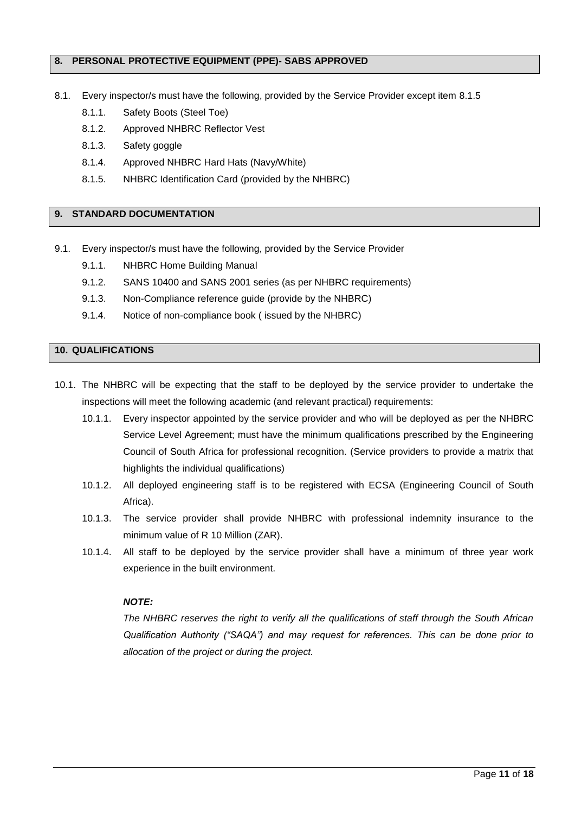### **8. PERSONAL PROTECTIVE EQUIPMENT (PPE)- SABS APPROVED**

- 8.1. Every inspector/s must have the following, provided by the Service Provider except item 8.1.5
	- 8.1.1. Safety Boots (Steel Toe)
	- 8.1.2. Approved NHBRC Reflector Vest
	- 8.1.3. Safety goggle
	- 8.1.4. Approved NHBRC Hard Hats (Navy/White)
	- 8.1.5. NHBRC Identification Card (provided by the NHBRC)

### **9. STANDARD DOCUMENTATION**

- 9.1. Every inspector/s must have the following, provided by the Service Provider
	- 9.1.1. NHBRC Home Building Manual
	- 9.1.2. SANS 10400 and SANS 2001 series (as per NHBRC requirements)
	- 9.1.3. Non-Compliance reference guide (provide by the NHBRC)
	- 9.1.4. Notice of non-compliance book ( issued by the NHBRC)

### **10. QUALIFICATIONS**

- 10.1. The NHBRC will be expecting that the staff to be deployed by the service provider to undertake the inspections will meet the following academic (and relevant practical) requirements:
	- 10.1.1. Every inspector appointed by the service provider and who will be deployed as per the NHBRC Service Level Agreement; must have the minimum qualifications prescribed by the Engineering Council of South Africa for professional recognition. (Service providers to provide a matrix that highlights the individual qualifications)
	- 10.1.2. All deployed engineering staff is to be registered with ECSA (Engineering Council of South Africa).
	- 10.1.3. The service provider shall provide NHBRC with professional indemnity insurance to the minimum value of R 10 Million (ZAR).
	- 10.1.4. All staff to be deployed by the service provider shall have a minimum of three year work experience in the built environment.

# *NOTE:*

*The NHBRC reserves the right to verify all the qualifications of staff through the South African Qualification Authority ("SAQA") and may request for references. This can be done prior to allocation of the project or during the project.*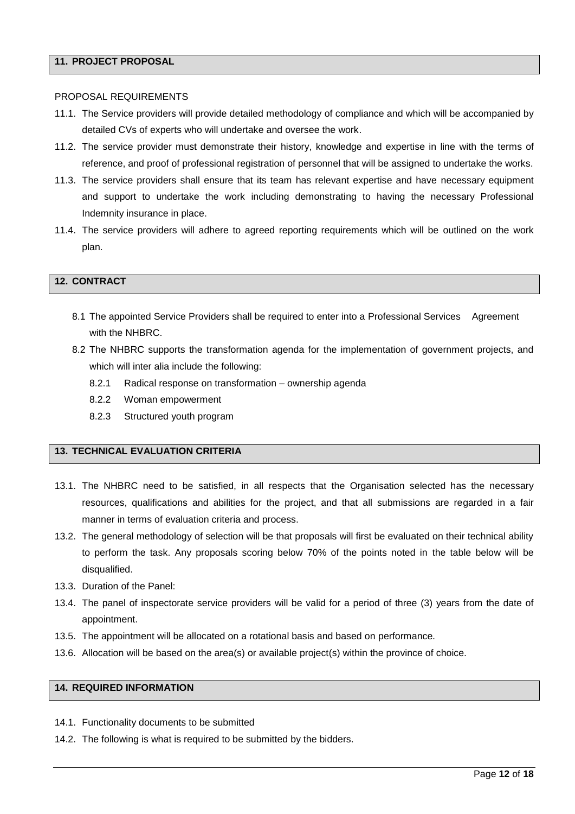### **11. PROJECT PROPOSAL**

#### PROPOSAL REQUIREMENTS

- 11.1. The Service providers will provide detailed methodology of compliance and which will be accompanied by detailed CVs of experts who will undertake and oversee the work.
- 11.2. The service provider must demonstrate their history, knowledge and expertise in line with the terms of reference, and proof of professional registration of personnel that will be assigned to undertake the works.
- 11.3. The service providers shall ensure that its team has relevant expertise and have necessary equipment and support to undertake the work including demonstrating to having the necessary Professional Indemnity insurance in place.
- 11.4. The service providers will adhere to agreed reporting requirements which will be outlined on the work plan.

# **12. CONTRACT**

- 8.1 The appointed Service Providers shall be required to enter into a Professional Services Agreement with the NHBRC.
- 8.2 The NHBRC supports the transformation agenda for the implementation of government projects, and which will inter alia include the following:
	- 8.2.1 Radical response on transformation ownership agenda
	- 8.2.2 Woman empowerment
	- 8.2.3 Structured youth program

# **13. TECHNICAL EVALUATION CRITERIA**

- 13.1. The NHBRC need to be satisfied, in all respects that the Organisation selected has the necessary resources, qualifications and abilities for the project, and that all submissions are regarded in a fair manner in terms of evaluation criteria and process.
- 13.2. The general methodology of selection will be that proposals will first be evaluated on their technical ability to perform the task. Any proposals scoring below 70% of the points noted in the table below will be disqualified.
- 13.3. Duration of the Panel:
- 13.4. The panel of inspectorate service providers will be valid for a period of three (3) years from the date of appointment.
- 13.5. The appointment will be allocated on a rotational basis and based on performance.
- 13.6. Allocation will be based on the area(s) or available project(s) within the province of choice.

# **14. REQUIRED INFORMATION**

- 14.1. Functionality documents to be submitted
- 14.2. The following is what is required to be submitted by the bidders.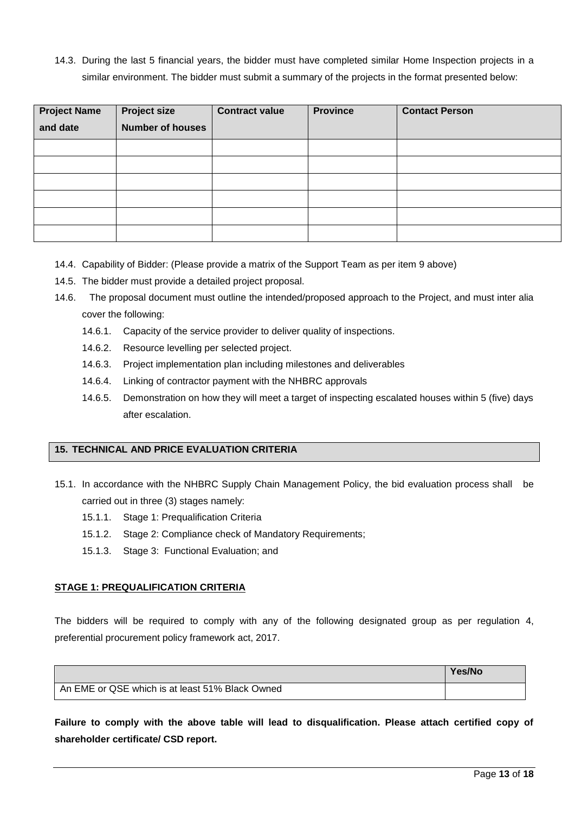14.3. During the last 5 financial years, the bidder must have completed similar Home Inspection projects in a similar environment. The bidder must submit a summary of the projects in the format presented below:

| <b>Project Name</b> | <b>Project size</b>     | <b>Contract value</b> | <b>Province</b> | <b>Contact Person</b> |
|---------------------|-------------------------|-----------------------|-----------------|-----------------------|
| and date            | <b>Number of houses</b> |                       |                 |                       |
|                     |                         |                       |                 |                       |
|                     |                         |                       |                 |                       |
|                     |                         |                       |                 |                       |
|                     |                         |                       |                 |                       |
|                     |                         |                       |                 |                       |
|                     |                         |                       |                 |                       |

- 14.4. Capability of Bidder: (Please provide a matrix of the Support Team as per item 9 above)
- 14.5. The bidder must provide a detailed project proposal.
- 14.6. The proposal document must outline the intended/proposed approach to the Project, and must inter alia cover the following:
	- 14.6.1. Capacity of the service provider to deliver quality of inspections.
	- 14.6.2. Resource levelling per selected project.
	- 14.6.3. Project implementation plan including milestones and deliverables
	- 14.6.4. Linking of contractor payment with the NHBRC approvals
	- 14.6.5. Demonstration on how they will meet a target of inspecting escalated houses within 5 (five) days after escalation.

### **15. TECHNICAL AND PRICE EVALUATION CRITERIA**

- 15.1. In accordance with the NHBRC Supply Chain Management Policy, the bid evaluation process shall be carried out in three (3) stages namely:
	- 15.1.1. Stage 1: Prequalification Criteria
	- 15.1.2. Stage 2: Compliance check of Mandatory Requirements;
	- 15.1.3. Stage 3: Functional Evaluation; and

### **STAGE 1: PREQUALIFICATION CRITERIA**

The bidders will be required to comply with any of the following designated group as per regulation 4, preferential procurement policy framework act, 2017.

|                                                 | Yes/No |
|-------------------------------------------------|--------|
| An EME or QSE which is at least 51% Black Owned |        |

**Failure to comply with the above table will lead to disqualification. Please attach certified copy of shareholder certificate/ CSD report.**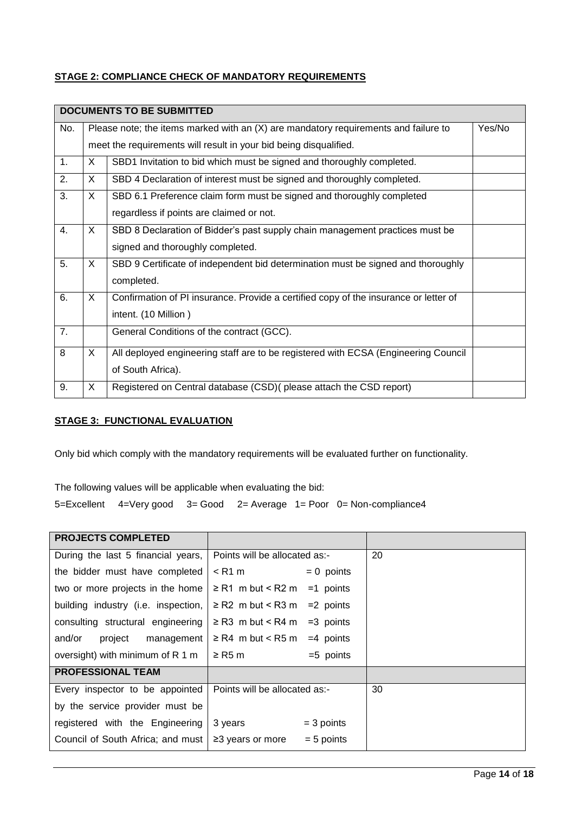# **STAGE 2: COMPLIANCE CHECK OF MANDATORY REQUIREMENTS**

|     |                                                                                            | <b>DOCUMENTS TO BE SUBMITTED</b>                                                    |        |  |  |
|-----|--------------------------------------------------------------------------------------------|-------------------------------------------------------------------------------------|--------|--|--|
| No. |                                                                                            | Please note; the items marked with an (X) are mandatory requirements and failure to | Yes/No |  |  |
|     |                                                                                            | meet the requirements will result in your bid being disqualified.                   |        |  |  |
| 1.  | X.                                                                                         | SBD1 Invitation to bid which must be signed and thoroughly completed.               |        |  |  |
| 2.  | X.                                                                                         | SBD 4 Declaration of interest must be signed and thoroughly completed.              |        |  |  |
| 3.  | X.<br>SBD 6.1 Preference claim form must be signed and thoroughly completed                |                                                                                     |        |  |  |
|     |                                                                                            | regardless if points are claimed or not.                                            |        |  |  |
| 4.  | X.                                                                                         | SBD 8 Declaration of Bidder's past supply chain management practices must be        |        |  |  |
|     |                                                                                            | signed and thoroughly completed.                                                    |        |  |  |
| 5.  | X.                                                                                         | SBD 9 Certificate of independent bid determination must be signed and thoroughly    |        |  |  |
|     |                                                                                            | completed.                                                                          |        |  |  |
| 6.  | X.<br>Confirmation of PI insurance. Provide a certified copy of the insurance or letter of |                                                                                     |        |  |  |
|     |                                                                                            | intent. (10 Million)                                                                |        |  |  |
| 7.  |                                                                                            | General Conditions of the contract (GCC).                                           |        |  |  |
| 8   | X.                                                                                         | All deployed engineering staff are to be registered with ECSA (Engineering Council  |        |  |  |
|     |                                                                                            | of South Africa).                                                                   |        |  |  |
| 9.  | X.                                                                                         | Registered on Central database (CSD) (please attach the CSD report)                 |        |  |  |

# **STAGE 3: FUNCTIONAL EVALUATION**

Only bid which comply with the mandatory requirements will be evaluated further on functionality.

The following values will be applicable when evaluating the bid:

5=Excellent 4=Very good 3= Good 2= Average 1= Poor 0= Non-compliance4

| <b>PROJECTS COMPLETED</b>           |                                        |    |
|-------------------------------------|----------------------------------------|----|
| During the last 5 financial years,  | Points will be allocated as:-          | 20 |
| the bidder must have completed      | $\leq$ R1 m<br>$= 0$ points            |    |
| two or more projects in the home    | $\geq$ R1 m but < R2 m<br>$=1$ points  |    |
| building industry (i.e. inspection, | $\geq$ R2 m but < R3 m<br>$=2$ points  |    |
| consulting structural engineering   | $\geq$ R3 m but < R4 m<br>$=3$ points  |    |
| and/or<br>project<br>management     | $\geq$ R4 m but < R5 m<br>$=4$ points  |    |
| oversight) with minimum of R 1 m    | $=5$ points<br>$\geq$ R5 m             |    |
| <b>PROFESSIONAL TEAM</b>            |                                        |    |
| Every inspector to be appointed     | Points will be allocated as:-          | 30 |
| by the service provider must be     |                                        |    |
| registered with the Engineering     | 3 years<br>$=$ 3 points                |    |
| Council of South Africa; and must   | $= 5$ points<br>$\geq$ 3 years or more |    |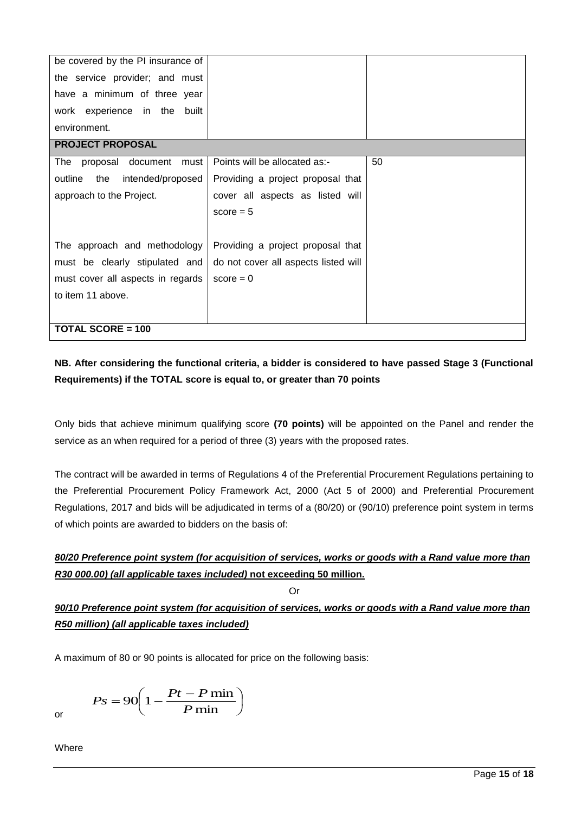| be covered by the PI insurance of   |                                      |    |  |  |
|-------------------------------------|--------------------------------------|----|--|--|
| the service provider; and must      |                                      |    |  |  |
| have a minimum of three year        |                                      |    |  |  |
| work experience in the built        |                                      |    |  |  |
| environment.                        |                                      |    |  |  |
| <b>PROJECT PROPOSAL</b>             |                                      |    |  |  |
| The proposal document must          | Points will be allocated as:-        | 50 |  |  |
| outline<br>the<br>intended/proposed | Providing a project proposal that    |    |  |  |
| approach to the Project.            | cover all aspects as listed will     |    |  |  |
|                                     | score $= 5$                          |    |  |  |
|                                     |                                      |    |  |  |
| The approach and methodology        | Providing a project proposal that    |    |  |  |
| must be clearly stipulated and      | do not cover all aspects listed will |    |  |  |
| must cover all aspects in regards   | $score = 0$                          |    |  |  |
| to item 11 above.                   |                                      |    |  |  |
|                                     |                                      |    |  |  |
| <b>TOTAL SCORE = 100</b>            |                                      |    |  |  |

# **NB. After considering the functional criteria, a bidder is considered to have passed Stage 3 (Functional Requirements) if the TOTAL score is equal to, or greater than 70 points**

Only bids that achieve minimum qualifying score **(70 points)** will be appointed on the Panel and render the service as an when required for a period of three (3) years with the proposed rates.

The contract will be awarded in terms of Regulations 4 of the Preferential Procurement Regulations pertaining to the Preferential Procurement Policy Framework Act, 2000 (Act 5 of 2000) and Preferential Procurement Regulations, 2017 and bids will be adjudicated in terms of a (80/20) or (90/10) preference point system in terms of which points are awarded to bidders on the basis of:

# *80/20 Preference point system (for acquisition of services, works or goods with a Rand value more than R30 000.00) (all applicable taxes included)* **not exceeding 50 million.**

# Or

# *90/10 Preference point system (for acquisition of services, works or goods with a Rand value more than R50 million) (all applicable taxes included)*

A maximum of 80 or 90 points is allocated for price on the following basis:

$$
Ps = 90 \left( 1 - \frac{Pt - P \min}{P \min} \right)
$$

or

Where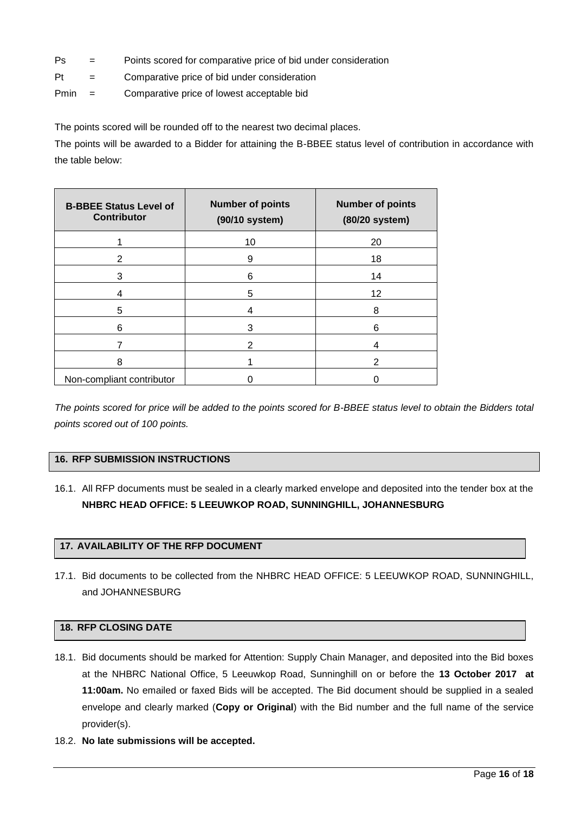- Ps = Points scored for comparative price of bid under consideration
- Pt = Comparative price of bid under consideration
- Pmin = Comparative price of lowest acceptable bid

The points scored will be rounded off to the nearest two decimal places.

The points will be awarded to a Bidder for attaining the B-BBEE status level of contribution in accordance with the table below:

| <b>B-BBEE Status Level of</b><br><b>Contributor</b> | <b>Number of points</b><br>(90/10 system) | <b>Number of points</b><br>(80/20 system) |
|-----------------------------------------------------|-------------------------------------------|-------------------------------------------|
|                                                     | 10                                        | 20                                        |
| 2                                                   | 9                                         | 18                                        |
| 3                                                   | 6                                         | 14                                        |
| 4                                                   | 5                                         | 12                                        |
| 5                                                   | 4                                         | 8                                         |
| 6                                                   | 3                                         | 6                                         |
|                                                     | 2                                         |                                           |
| 8                                                   |                                           | $\mathcal{P}$                             |
| Non-compliant contributor                           |                                           |                                           |

*The points scored for price will be added to the points scored for B-BBEE status level to obtain the Bidders total points scored out of 100 points.*

# **16. RFP SUBMISSION INSTRUCTIONS**

16.1. All RFP documents must be sealed in a clearly marked envelope and deposited into the tender box at the **NHBRC HEAD OFFICE: 5 LEEUWKOP ROAD, SUNNINGHILL, JOHANNESBURG**

# **17. AVAILABILITY OF THE RFP DOCUMENT**

17.1. Bid documents to be collected from the NHBRC HEAD OFFICE: 5 LEEUWKOP ROAD, SUNNINGHILL, and JOHANNESBURG

# **18. RFP CLOSING DATE**

- 18.1. Bid documents should be marked for Attention: Supply Chain Manager, and deposited into the Bid boxes at the NHBRC National Office, 5 Leeuwkop Road, Sunninghill on or before the **13 October 2017 at 11:00am.** No emailed or faxed Bids will be accepted. The Bid document should be supplied in a sealed envelope and clearly marked (**Copy or Original**) with the Bid number and the full name of the service provider(s).
- 18.2. **No late submissions will be accepted.**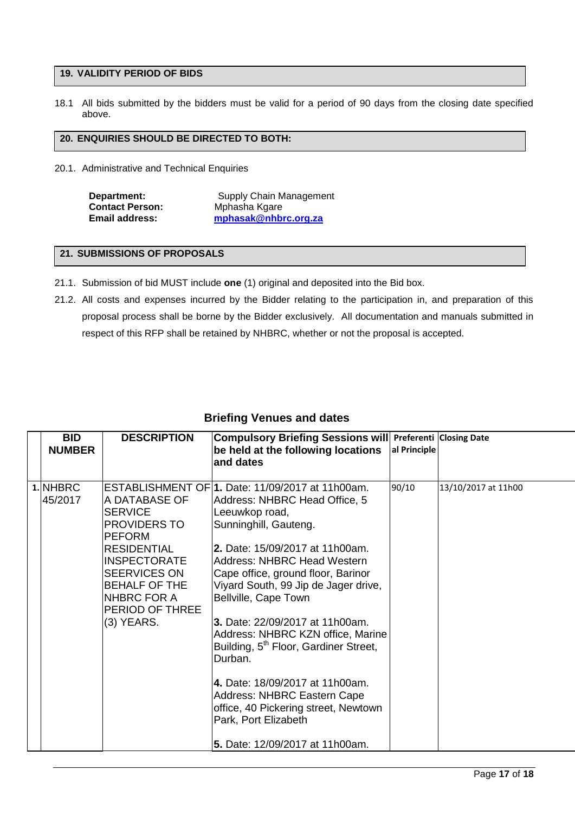### **19. VALIDITY PERIOD OF BIDS**

18.1 All bids submitted by the bidders must be valid for a period of 90 days from the closing date specified above.

#### **20. ENQUIRIES SHOULD BE DIRECTED TO BOTH:**

20.1. Administrative and Technical Enquiries

| Department:            |  |  |
|------------------------|--|--|
| <b>Contact Person:</b> |  |  |
| <b>Email address:</b>  |  |  |

**Supply Chain Management Contact Person:** Mphasha Kgare **Email address: [mphasak@nhbrc.org.za](mailto:mphasak@nhbrc.org.za)**

## **21. SUBMISSIONS OF PROPOSALS**

- 21.1. Submission of bid MUST include **one** (1) original and deposited into the Bid box.
- 21.2. All costs and expenses incurred by the Bidder relating to the participation in, and preparation of this proposal process shall be borne by the Bidder exclusively. All documentation and manuals submitted in respect of this RFP shall be retained by NHBRC, whether or not the proposal is accepted.

| <b>BID</b><br><b>NUMBER</b> | <b>DESCRIPTION</b>                                                                                                                                                                                           | Compulsory Briefing Sessions will Preferenti Closing Date<br>be held at the following locations<br>and dates                                                                                                                                                                                                                                                                                                                                                                                                                                                                                                                     | al Principle |                     |
|-----------------------------|--------------------------------------------------------------------------------------------------------------------------------------------------------------------------------------------------------------|----------------------------------------------------------------------------------------------------------------------------------------------------------------------------------------------------------------------------------------------------------------------------------------------------------------------------------------------------------------------------------------------------------------------------------------------------------------------------------------------------------------------------------------------------------------------------------------------------------------------------------|--------------|---------------------|
| 1. NHBRC<br>45/2017         | A DATABASE OF<br><b>SERVICE</b><br><b>PROVIDERS TO</b><br><b>PEFORM</b><br><b>RESIDENTIAL</b><br><b>INSPECTORATE</b><br>SEERVICES ON<br><b>BEHALF OF THE</b><br>NHBRC FOR A<br>PERIOD OF THREE<br>(3) YEARS. | ESTABLISHMENT OF 1. Date: 11/09/2017 at 11h00am.<br>Address: NHBRC Head Office, 5<br>Leeuwkop road,<br>Sunninghill, Gauteng.<br>l2. Date: 15/09/2017 at 11h00am.<br><b>Address: NHBRC Head Western</b><br>Cape office, ground floor, Barinor<br>Viyard South, 99 Jip de Jager drive,<br>Bellville, Cape Town<br>3. Date: 22/09/2017 at 11h00am.<br>Address: NHBRC KZN office, Marine<br>Building, 5 <sup>th</sup> Floor, Gardiner Street,<br>Durban.<br>4. Date: 18/09/2017 at 11h00am.<br><b>Address: NHBRC Eastern Cape</b><br>office, 40 Pickering street, Newtown<br>Park, Port Elizabeth<br>5. Date: 12/09/2017 at 11h00am. | 90/10        | 13/10/2017 at 11h00 |

# **Briefing Venues and dates**